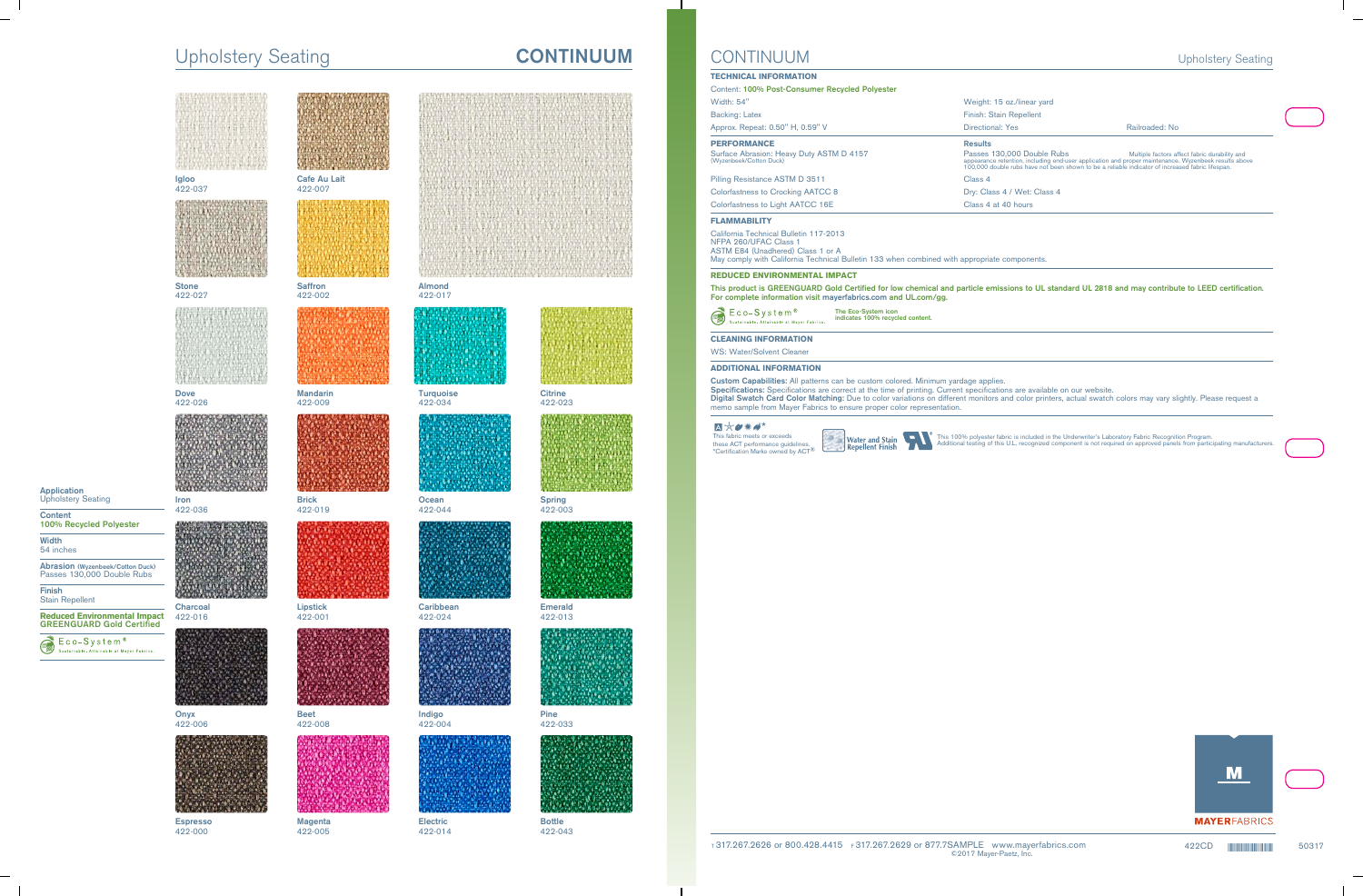# Upholstery Seating **CONTINUUM**



Application Upholstery Seating

Content 100% Recycled Polyester

**Width** 54 inches

Abrasion (Wyzenbeek/Cotton Duck) Passes 130,000 Double Rubs

Finish Stain Repellent

**Reduced Environmental Impact** GREENGUARD Gold Certified



422-000

422-005